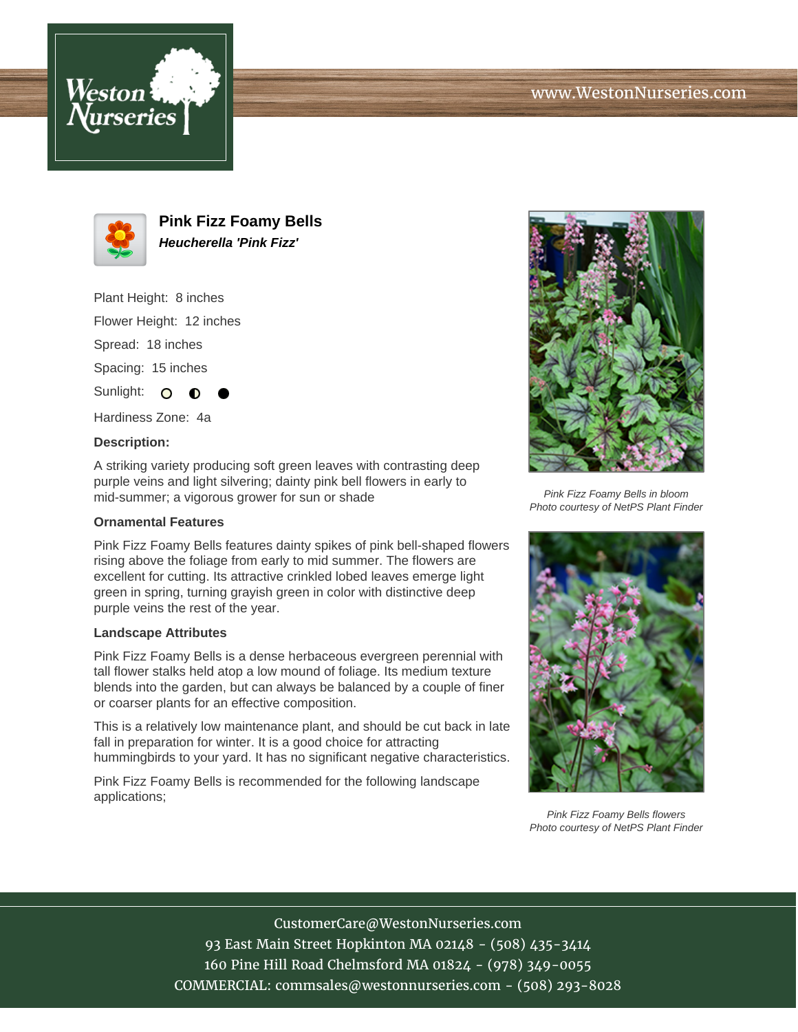





**Pink Fizz Foamy Bells Heucherella 'Pink Fizz'**

Plant Height: 8 inches

Flower Height: 12 inches

Spread: 18 inches

Spacing: 15 inches

Sunlight: O

Hardiness Zone: 4a

## **Description:**

A striking variety producing soft green leaves with contrasting deep purple veins and light silvering; dainty pink bell flowers in early to mid-summer; a vigorous grower for sun or shade

## **Ornamental Features**

Pink Fizz Foamy Bells features dainty spikes of pink bell-shaped flowers rising above the foliage from early to mid summer. The flowers are excellent for cutting. Its attractive crinkled lobed leaves emerge light green in spring, turning grayish green in color with distinctive deep purple veins the rest of the year.

## **Landscape Attributes**

Pink Fizz Foamy Bells is a dense herbaceous evergreen perennial with tall flower stalks held atop a low mound of foliage. Its medium texture blends into the garden, but can always be balanced by a couple of finer or coarser plants for an effective composition.

This is a relatively low maintenance plant, and should be cut back in late fall in preparation for winter. It is a good choice for attracting hummingbirds to your yard. It has no significant negative characteristics.

Pink Fizz Foamy Bells is recommended for the following landscape applications;



Pink Fizz Foamy Bells in bloom Photo courtesy of NetPS Plant Finder



Pink Fizz Foamy Bells flowers Photo courtesy of NetPS Plant Finder

CustomerCare@WestonNurseries.com 93 East Main Street Hopkinton MA 02148 - (508) 435-3414 160 Pine Hill Road Chelmsford MA 01824 - (978) 349-0055 COMMERCIAL: commsales@westonnurseries.com - (508) 293-8028